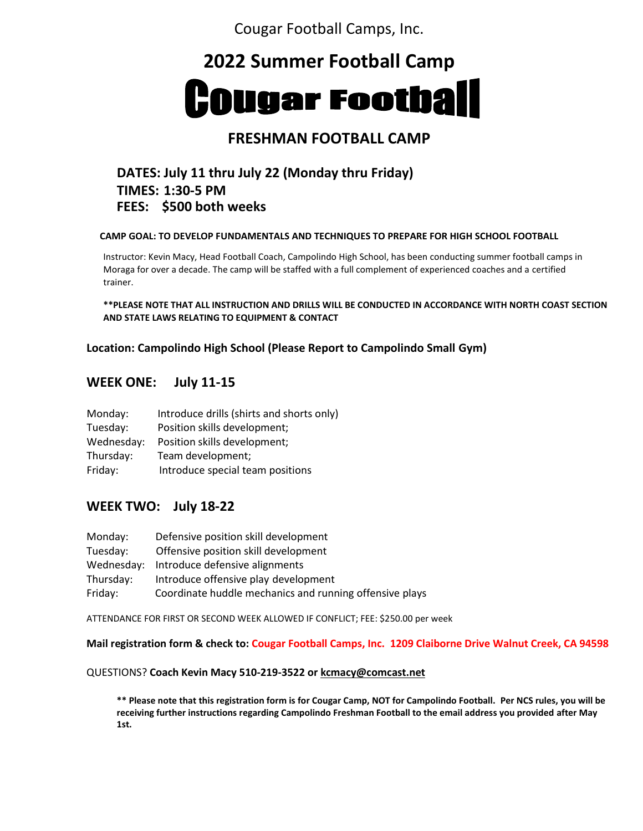Cougar Football Camps, Inc.

# **2022 Summer Football Camp Cougar Football**

# **FRESHMAN FOOTBALL CAMP**

**DATES: July 11 thru July 22 (Monday thru Friday) TIMES: 1:30-5 PM FEES: \$500 both weeks** 

#### **CAMP GOAL: TO DEVELOP FUNDAMENTALS AND TECHNIQUES TO PREPARE FOR HIGH SCHOOL FOOTBALL**

Instructor: Kevin Macy, Head Football Coach, Campolindo High School, has been conducting summer football camps in Moraga for over a decade. The camp will be staffed with a full complement of experienced coaches and a certified trainer.

**\*\*PLEASE NOTE THAT ALL INSTRUCTION AND DRILLS WILL BE CONDUCTED IN ACCORDANCE WITH NORTH COAST SECTION AND STATE LAWS RELATING TO EQUIPMENT & CONTACT**

### **Location: Campolindo High School (Please Report to Campolindo Small Gym)**

## **WEEK ONE: July 11-15**

| Monday:    | Introduce drills (shirts and shorts only) |
|------------|-------------------------------------------|
| Tuesday:   | Position skills development;              |
| Wednesday: | Position skills development;              |
| Thursday:  | Team development;                         |
| Friday:    | Introduce special team positions          |

## **WEEK TWO: July 18-22**

| Monday:   | Defensive position skill development                    |
|-----------|---------------------------------------------------------|
| Tuesday:  | Offensive position skill development                    |
|           | Wednesday: Introduce defensive alignments               |
| Thursday: | Introduce offensive play development                    |
| Friday:   | Coordinate huddle mechanics and running offensive plays |

ATTENDANCE FOR FIRST OR SECOND WEEK ALLOWED IF CONFLICT; FEE: \$250.00 per week

#### **Mail registration form & check to: Cougar Football Camps, Inc. 1209 Claiborne Drive Walnut Creek, CA 94598**

#### QUESTIONS? **Coach Kevin Macy 510-219-3522 or [kcmacy@comcast.net](mailto:kcmacy@comcast.net)**

**\*\* Please note that this registration form is for Cougar Camp, NOT for Campolindo Football. Per NCS rules, you will be receiving further instructions regarding Campolindo Freshman Football to the email address you provided after May 1st.**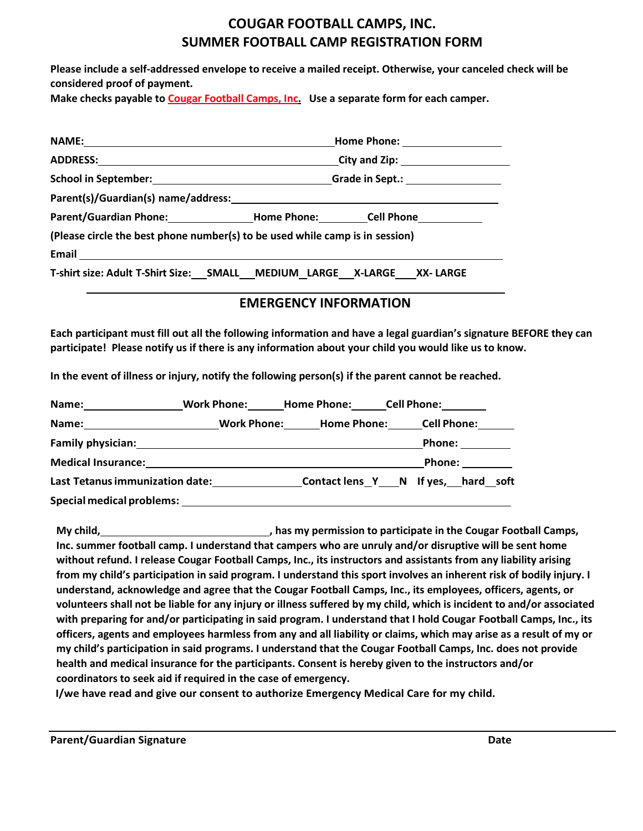# **COUGAR FOOTBALL CAMPS, INC. SUMMER FOOTBALL CAMP REGISTRATION FORM**

**Please include a self-addressed envelope to receive a mailed receipt. Otherwise, your canceled check will be considered proof of payment.** 

**Make checks payable to Cougar Football Camps, Inc. Use a separate form for each camper.**

|                                                                                  | Home Phone: ___________________                                                  |  |  |  |  |  |
|----------------------------------------------------------------------------------|----------------------------------------------------------------------------------|--|--|--|--|--|
| <b>ADDRESS:</b><br><u> 1989 - Johann Barn, fransk politik formuler (d. 1989)</u> |                                                                                  |  |  |  |  |  |
|                                                                                  |                                                                                  |  |  |  |  |  |
|                                                                                  |                                                                                  |  |  |  |  |  |
|                                                                                  | Parent/Guardian Phone: ______________________Home Phone: _______________________ |  |  |  |  |  |
| (Please circle the best phone number(s) to be used while camp is in session)     |                                                                                  |  |  |  |  |  |
|                                                                                  |                                                                                  |  |  |  |  |  |
| T-shirt size: Adult T-Shirt Size: __ SMALL __ MEDIUM __ LARGE __ X-LARGE         | XX- LARGE                                                                        |  |  |  |  |  |

## **EMERGENCY INFORMATION**

**Each participant must fill out all the following information and have a legal guardian's signature BEFORE they can participate! Please notify us if there is any information about your child you would like us to know.**

**In the event of illness or injury, notify the following person(s) if the parent cannot be reached.**

| Name: Name:                                                                                                                                                                                                                    | Work Phone: _____Home Phone: ______ Cell Phone: ______ |                                    |  |
|--------------------------------------------------------------------------------------------------------------------------------------------------------------------------------------------------------------------------------|--------------------------------------------------------|------------------------------------|--|
| Name:                                                                                                                                                                                                                          | Work Phone: Home Phone: Cell Phone:                    |                                    |  |
|                                                                                                                                                                                                                                |                                                        | <b>Phone:</b> ________             |  |
| <b>Medical Insurance:</b>                                                                                                                                                                                                      |                                                        | <b>Phone:</b> ________             |  |
| <b>Last Tetanus immunization date:</b>                                                                                                                                                                                         |                                                        | Contact lens Y N If yes, hard soft |  |
| Special medical problems: The control of the control of the control of the control of the control of the control of the control of the control of the control of the control of the control of the control of the control of t |                                                        |                                    |  |

My child, **Mullace Couper Couper Couper Couper** has my permission to participate in the Cougar Football Camps, **Inc. summer football camp. I understand that campers who are unruly and/or disruptive will be sent home without refund. I release Cougar Football Camps, Inc., its instructors and assistants from any liability arising from my child's participation in said program. I understand this sport involves an inherent risk of bodily injury. I understand, acknowledge and agree that the Cougar Football Camps, Inc., its employees, officers, agents, or volunteers shall not be liable for any injury or illness suffered by my child, which is incident to and/or associated with preparing for and/or participating in said program. I understand that I hold Cougar Football Camps, Inc., its officers, agents and employees harmless from any and all liability or claims, which may arise as a result of my or my child's participation in said programs. I understand that the Cougar Football Camps, Inc. does not provide health and medical insurance for the participants. Consent is hereby given to the instructors and/or coordinators to seek aid if required in the case of emergency.**

 **I/we have read and give our consent to authorize Emergency Medical Care for my child.**